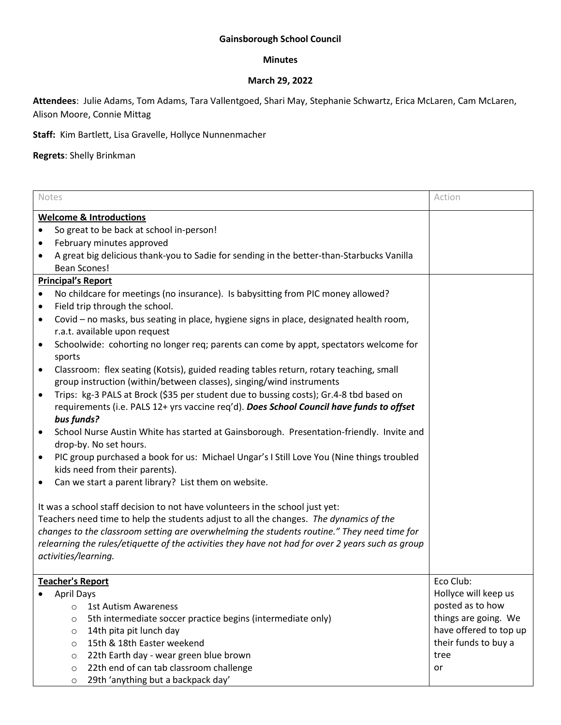# **Gainsborough School Council**

### **Minutes**

## **March 29, 2022**

**Attendees**: Julie Adams, Tom Adams, Tara Vallentgoed, Shari May, Stephanie Schwartz, Erica McLaren, Cam McLaren, Alison Moore, Connie Mittag

**Staff:** Kim Bartlett, Lisa Gravelle, Hollyce Nunnenmacher

**Regrets**: Shelly Brinkman

| Notes                                                                                             |                                                                                             | Action                 |  |  |
|---------------------------------------------------------------------------------------------------|---------------------------------------------------------------------------------------------|------------------------|--|--|
|                                                                                                   |                                                                                             |                        |  |  |
|                                                                                                   | <b>Welcome &amp; Introductions</b>                                                          |                        |  |  |
|                                                                                                   | So great to be back at school in-person!                                                    |                        |  |  |
| ٠                                                                                                 | February minutes approved                                                                   |                        |  |  |
| $\bullet$                                                                                         | A great big delicious thank-you to Sadie for sending in the better-than-Starbucks Vanilla   |                        |  |  |
|                                                                                                   | <b>Bean Scones!</b>                                                                         |                        |  |  |
|                                                                                                   | <b>Principal's Report</b>                                                                   |                        |  |  |
| $\bullet$                                                                                         | No childcare for meetings (no insurance). Is babysitting from PIC money allowed?            |                        |  |  |
| $\bullet$                                                                                         | Field trip through the school.                                                              |                        |  |  |
| $\bullet$                                                                                         | Covid - no masks, bus seating in place, hygiene signs in place, designated health room,     |                        |  |  |
|                                                                                                   | r.a.t. available upon request                                                               |                        |  |  |
| ٠                                                                                                 | Schoolwide: cohorting no longer req; parents can come by appt, spectators welcome for       |                        |  |  |
|                                                                                                   | sports                                                                                      |                        |  |  |
| $\bullet$                                                                                         | Classroom: flex seating (Kotsis), guided reading tables return, rotary teaching, small      |                        |  |  |
|                                                                                                   | group instruction (within/between classes), singing/wind instruments                        |                        |  |  |
| $\bullet$                                                                                         | Trips: kg-3 PALS at Brock (\$35 per student due to bussing costs); Gr.4-8 tbd based on      |                        |  |  |
|                                                                                                   | requirements (i.e. PALS 12+ yrs vaccine req'd). Does School Council have funds to offset    |                        |  |  |
|                                                                                                   | bus funds?                                                                                  |                        |  |  |
|                                                                                                   | School Nurse Austin White has started at Gainsborough. Presentation-friendly. Invite and    |                        |  |  |
|                                                                                                   | drop-by. No set hours.                                                                      |                        |  |  |
| $\bullet$                                                                                         | PIC group purchased a book for us: Michael Ungar's I Still Love You (Nine things troubled   |                        |  |  |
|                                                                                                   | kids need from their parents).                                                              |                        |  |  |
|                                                                                                   | Can we start a parent library? List them on website.                                        |                        |  |  |
|                                                                                                   |                                                                                             |                        |  |  |
| It was a school staff decision to not have volunteers in the school just yet:                     |                                                                                             |                        |  |  |
|                                                                                                   | Teachers need time to help the students adjust to all the changes. The dynamics of the      |                        |  |  |
|                                                                                                   | changes to the classroom setting are overwhelming the students routine." They need time for |                        |  |  |
| relearning the rules/etiquette of the activities they have not had for over 2 years such as group |                                                                                             |                        |  |  |
|                                                                                                   | activities/learning.                                                                        |                        |  |  |
|                                                                                                   |                                                                                             |                        |  |  |
|                                                                                                   | <b>Teacher's Report</b>                                                                     | Eco Club:              |  |  |
|                                                                                                   | <b>April Days</b>                                                                           | Hollyce will keep us   |  |  |
|                                                                                                   | <b>1st Autism Awareness</b><br>O                                                            | posted as to how       |  |  |
|                                                                                                   | 5th intermediate soccer practice begins (intermediate only)<br>$\circ$                      | things are going. We   |  |  |
|                                                                                                   | 14th pita pit lunch day<br>$\circ$                                                          | have offered to top up |  |  |
|                                                                                                   | 15th & 18th Easter weekend<br>$\circ$                                                       | their funds to buy a   |  |  |
|                                                                                                   | 22th Earth day - wear green blue brown<br>$\circ$                                           | tree                   |  |  |
|                                                                                                   | 22th end of can tab classroom challenge<br>$\circ$                                          | or                     |  |  |
|                                                                                                   | 29th 'anything but a backpack day'<br>$\circ$                                               |                        |  |  |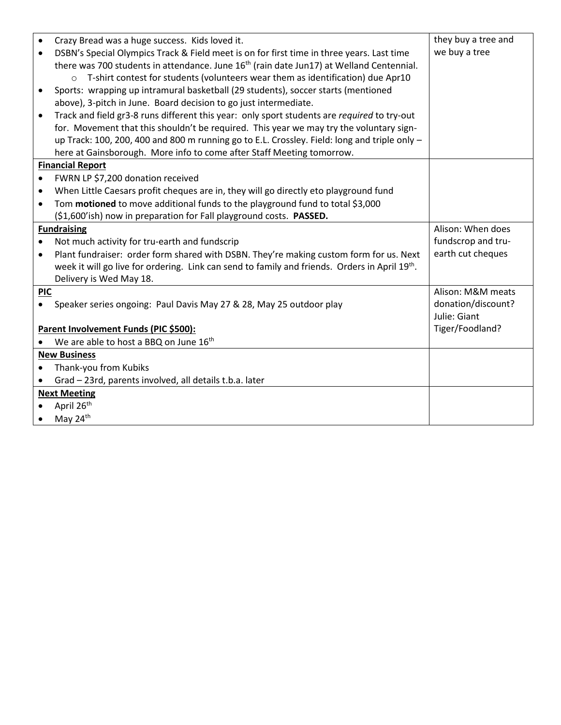| $\bullet$<br>$\bullet$                | Crazy Bread was a huge success. Kids loved it.<br>DSBN's Special Olympics Track & Field meet is on for first time in three years. Last time<br>there was 700 students in attendance. June $16th$ (rain date Jun17) at Welland Centennial.<br>T-shirt contest for students (volunteers wear them as identification) due Apr10<br>$\Omega$<br>Sports: wrapping up intramural basketball (29 students), soccer starts (mentioned<br>above), 3-pitch in June. Board decision to go just intermediate.<br>Track and field gr3-8 runs different this year: only sport students are required to try-out<br>for. Movement that this shouldn't be required. This year we may try the voluntary sign- | they buy a tree and<br>we buy a tree |  |
|---------------------------------------|---------------------------------------------------------------------------------------------------------------------------------------------------------------------------------------------------------------------------------------------------------------------------------------------------------------------------------------------------------------------------------------------------------------------------------------------------------------------------------------------------------------------------------------------------------------------------------------------------------------------------------------------------------------------------------------------|--------------------------------------|--|
|                                       | up Track: 100, 200, 400 and 800 m running go to E.L. Crossley. Field: long and triple only -<br>here at Gainsborough. More info to come after Staff Meeting tomorrow.                                                                                                                                                                                                                                                                                                                                                                                                                                                                                                                       |                                      |  |
| <b>Financial Report</b>               |                                                                                                                                                                                                                                                                                                                                                                                                                                                                                                                                                                                                                                                                                             |                                      |  |
| $\bullet$                             | FWRN LP \$7,200 donation received                                                                                                                                                                                                                                                                                                                                                                                                                                                                                                                                                                                                                                                           |                                      |  |
|                                       | When Little Caesars profit cheques are in, they will go directly eto playground fund                                                                                                                                                                                                                                                                                                                                                                                                                                                                                                                                                                                                        |                                      |  |
| $\bullet$                             | Tom motioned to move additional funds to the playground fund to total \$3,000                                                                                                                                                                                                                                                                                                                                                                                                                                                                                                                                                                                                               |                                      |  |
|                                       | (\$1,600'ish) now in preparation for Fall playground costs. PASSED.                                                                                                                                                                                                                                                                                                                                                                                                                                                                                                                                                                                                                         |                                      |  |
|                                       | <b>Fundraising</b>                                                                                                                                                                                                                                                                                                                                                                                                                                                                                                                                                                                                                                                                          | Alison: When does                    |  |
| $\bullet$                             | Not much activity for tru-earth and fundscrip                                                                                                                                                                                                                                                                                                                                                                                                                                                                                                                                                                                                                                               | fundscrop and tru-                   |  |
| $\bullet$                             | Plant fundraiser: order form shared with DSBN. They're making custom form for us. Next                                                                                                                                                                                                                                                                                                                                                                                                                                                                                                                                                                                                      | earth cut cheques                    |  |
|                                       | week it will go live for ordering. Link can send to family and friends. Orders in April 19th.                                                                                                                                                                                                                                                                                                                                                                                                                                                                                                                                                                                               |                                      |  |
| <b>PIC</b>                            | Delivery is Wed May 18.                                                                                                                                                                                                                                                                                                                                                                                                                                                                                                                                                                                                                                                                     | Alison: M&M meats                    |  |
| $\bullet$                             | Speaker series ongoing: Paul Davis May 27 & 28, May 25 outdoor play                                                                                                                                                                                                                                                                                                                                                                                                                                                                                                                                                                                                                         | donation/discount?                   |  |
|                                       |                                                                                                                                                                                                                                                                                                                                                                                                                                                                                                                                                                                                                                                                                             | Julie: Giant                         |  |
| Parent Involvement Funds (PIC \$500): |                                                                                                                                                                                                                                                                                                                                                                                                                                                                                                                                                                                                                                                                                             | Tiger/Foodland?                      |  |
|                                       | We are able to host a BBQ on June 16 <sup>th</sup>                                                                                                                                                                                                                                                                                                                                                                                                                                                                                                                                                                                                                                          |                                      |  |
|                                       | <b>New Business</b>                                                                                                                                                                                                                                                                                                                                                                                                                                                                                                                                                                                                                                                                         |                                      |  |
|                                       | Thank-you from Kubiks                                                                                                                                                                                                                                                                                                                                                                                                                                                                                                                                                                                                                                                                       |                                      |  |
|                                       | Grad - 23rd, parents involved, all details t.b.a. later                                                                                                                                                                                                                                                                                                                                                                                                                                                                                                                                                                                                                                     |                                      |  |
| <b>Next Meeting</b>                   |                                                                                                                                                                                                                                                                                                                                                                                                                                                                                                                                                                                                                                                                                             |                                      |  |
|                                       | April 26 <sup>th</sup>                                                                                                                                                                                                                                                                                                                                                                                                                                                                                                                                                                                                                                                                      |                                      |  |
|                                       | May 24 <sup>th</sup>                                                                                                                                                                                                                                                                                                                                                                                                                                                                                                                                                                                                                                                                        |                                      |  |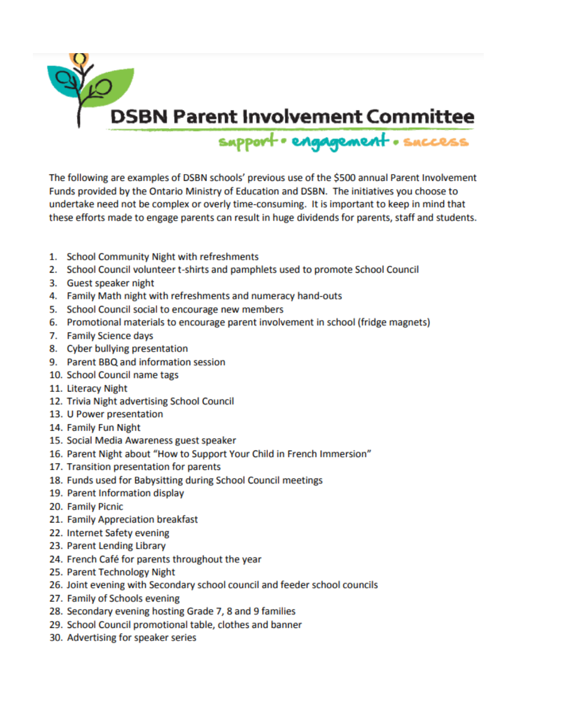

The following are examples of DSBN schools' previous use of the \$500 annual Parent Involvement Funds provided by the Ontario Ministry of Education and DSBN. The initiatives you choose to undertake need not be complex or overly time-consuming. It is important to keep in mind that these efforts made to engage parents can result in huge dividends for parents, staff and students.

- 1. School Community Night with refreshments
- 2. School Council volunteer t-shirts and pamphlets used to promote School Council
- 3. Guest speaker night
- 4. Family Math night with refreshments and numeracy hand-outs
- 5. School Council social to encourage new members
- 6. Promotional materials to encourage parent involvement in school (fridge magnets)
- 7. Family Science days
- 8. Cyber bullying presentation
- 9. Parent BBQ and information session
- 10. School Council name tags
- 11. Literacy Night
- 12. Trivia Night advertising School Council
- 13. U Power presentation
- 14. Family Fun Night
- 15. Social Media Awareness guest speaker
- 16. Parent Night about "How to Support Your Child in French Immersion"
- 17. Transition presentation for parents
- 18. Funds used for Babysitting during School Council meetings
- 19. Parent Information display
- 20. Family Picnic
- 21. Family Appreciation breakfast
- 22. Internet Safety evening
- 23. Parent Lending Library
- 24. French Café for parents throughout the year
- 25. Parent Technology Night
- 26. Joint evening with Secondary school council and feeder school councils
- 27. Family of Schools evening
- 28. Secondary evening hosting Grade 7, 8 and 9 families
- 29. School Council promotional table, clothes and banner
- 30. Advertising for speaker series